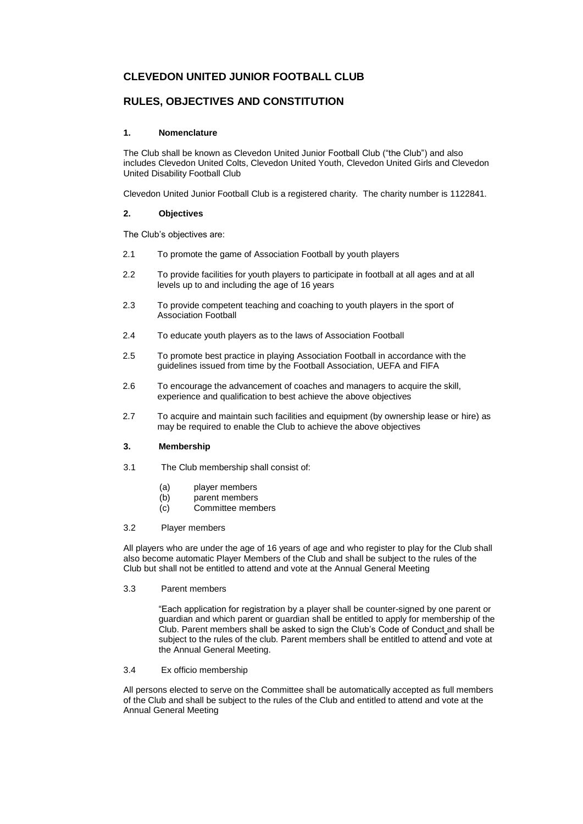# **CLEVEDON UNITED JUNIOR FOOTBALL CLUB**

# **RULES, OBJECTIVES AND CONSTITUTION**

## **1. Nomenclature**

The Club shall be known as Clevedon United Junior Football Club ("the Club") and also includes Clevedon United Colts, Clevedon United Youth, Clevedon United Girls and Clevedon United Disability Football Club

Clevedon United Junior Football Club is a registered charity. The charity number is 1122841.

## **2. Objectives**

The Club's objectives are:

- 2.1 To promote the game of Association Football by youth players
- 2.2 To provide facilities for youth players to participate in football at all ages and at all levels up to and including the age of 16 years
- 2.3 To provide competent teaching and coaching to youth players in the sport of Association Football
- 2.4 To educate youth players as to the laws of Association Football
- 2.5 To promote best practice in playing Association Football in accordance with the guidelines issued from time by the Football Association, UEFA and FIFA
- 2.6 To encourage the advancement of coaches and managers to acquire the skill, experience and qualification to best achieve the above objectives
- 2.7 To acquire and maintain such facilities and equipment (by ownership lease or hire) as may be required to enable the Club to achieve the above objectives

## **3. Membership**

- 3.1 The Club membership shall consist of:
	- (a) player members<br>(b) parent members
	- parent members
	- (c) Committee members

#### 3.2 Player members

All players who are under the age of 16 years of age and who register to play for the Club shall also become automatic Player Members of the Club and shall be subject to the rules of the Club but shall not be entitled to attend and vote at the Annual General Meeting

3.3 Parent members

"Each application for registration by a player shall be counter-signed by one parent or guardian and which parent or guardian shall be entitled to apply for membership of the Club. Parent members shall be asked to sign the Club's Code of Conduct and shall be subject to the rules of the club. Parent members shall be entitled to attend and vote at the Annual General Meeting.

#### 3.4 Ex officio membership

All persons elected to serve on the Committee shall be automatically accepted as full members of the Club and shall be subject to the rules of the Club and entitled to attend and vote at the Annual General Meeting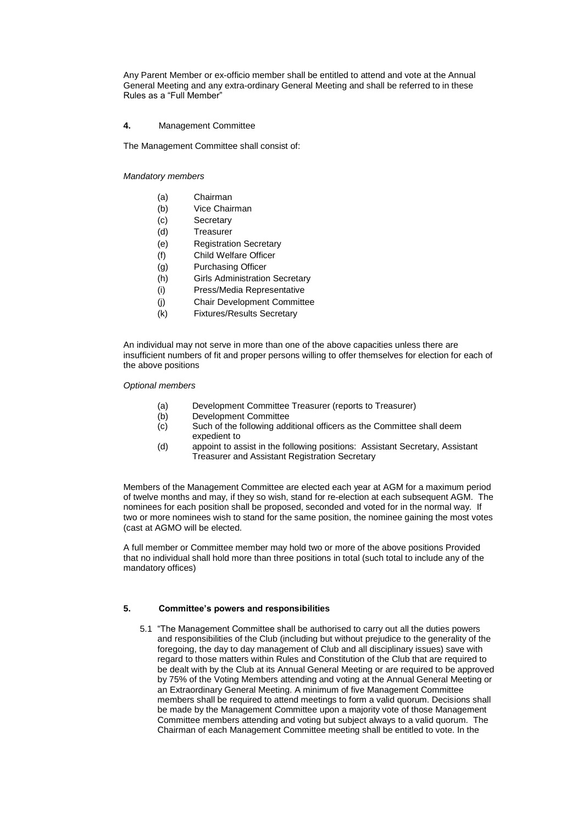Any Parent Member or ex-officio member shall be entitled to attend and vote at the Annual General Meeting and any extra-ordinary General Meeting and shall be referred to in these Rules as a "Full Member"

## **4.** Management Committee

The Management Committee shall consist of:

*Mandatory members*

- (a) Chairman
- (b) Vice Chairman
- (c) Secretary
- (d) Treasurer
- (e) Registration Secretary
- (f) Child Welfare Officer
- (g) Purchasing Officer
- (h) Girls Administration Secretary
- (i) Press/Media Representative
- (j) Chair Development Committee
- (k) Fixtures/Results Secretary

An individual may not serve in more than one of the above capacities unless there are insufficient numbers of fit and proper persons willing to offer themselves for election for each of the above positions

*Optional members*

- (a) Development Committee Treasurer (reports to Treasurer)
- (b) Development Committee
- (c) Such of the following additional officers as the Committee shall deem expedient to
- (d) appoint to assist in the following positions: Assistant Secretary, Assistant Treasurer and Assistant Registration Secretary

Members of the Management Committee are elected each year at AGM for a maximum period of twelve months and may, if they so wish, stand for re-election at each subsequent AGM. The nominees for each position shall be proposed, seconded and voted for in the normal way. If two or more nominees wish to stand for the same position, the nominee gaining the most votes (cast at AGMO will be elected.

A full member or Committee member may hold two or more of the above positions Provided that no individual shall hold more than three positions in total (such total to include any of the mandatory offices)

## **5. Committee's powers and responsibilities**

5.1 "The Management Committee shall be authorised to carry out all the duties powers and responsibilities of the Club (including but without prejudice to the generality of the foregoing, the day to day management of Club and all disciplinary issues) save with regard to those matters within Rules and Constitution of the Club that are required to be dealt with by the Club at its Annual General Meeting or are required to be approved by 75% of the Voting Members attending and voting at the Annual General Meeting or an Extraordinary General Meeting. A minimum of five Management Committee members shall be required to attend meetings to form a valid quorum. Decisions shall be made by the Management Committee upon a majority vote of those Management Committee members attending and voting but subject always to a valid quorum. The Chairman of each Management Committee meeting shall be entitled to vote. In the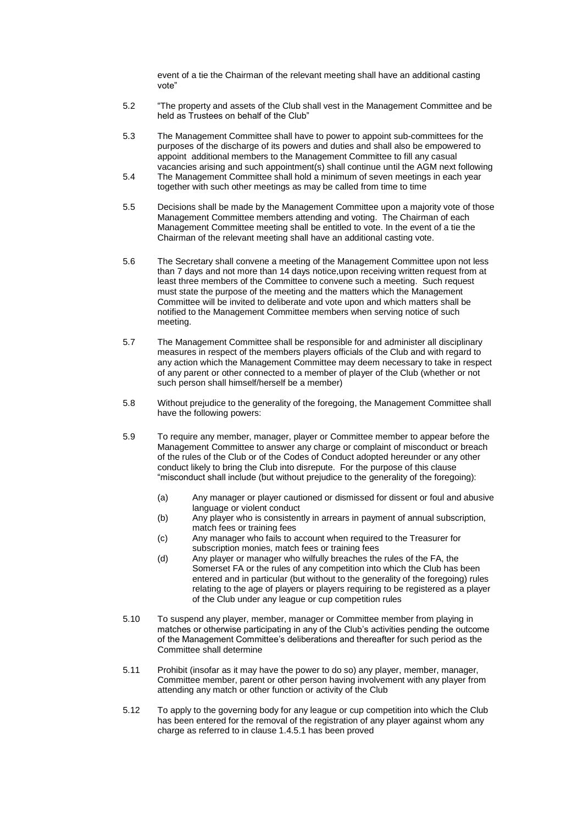event of a tie the Chairman of the relevant meeting shall have an additional casting vote"

- 5.2 "The property and assets of the Club shall vest in the Management Committee and be held as Trustees on behalf of the Club"
- 5.3 The Management Committee shall have to power to appoint sub-committees for the purposes of the discharge of its powers and duties and shall also be empowered to appoint additional members to the Management Committee to fill any casual vacancies arising and such appointment(s) shall continue until the AGM next following
- 5.4 The Management Committee shall hold a minimum of seven meetings in each year together with such other meetings as may be called from time to time
- 5.5 Decisions shall be made by the Management Committee upon a majority vote of those Management Committee members attending and voting. The Chairman of each Management Committee meeting shall be entitled to vote. In the event of a tie the Chairman of the relevant meeting shall have an additional casting vote.
- 5.6 The Secretary shall convene a meeting of the Management Committee upon not less than 7 days and not more than 14 days notice,upon receiving written request from at least three members of the Committee to convene such a meeting. Such request must state the purpose of the meeting and the matters which the Management Committee will be invited to deliberate and vote upon and which matters shall be notified to the Management Committee members when serving notice of such meeting.
- 5.7 The Management Committee shall be responsible for and administer all disciplinary measures in respect of the members players officials of the Club and with regard to any action which the Management Committee may deem necessary to take in respect of any parent or other connected to a member of player of the Club (whether or not such person shall himself/herself be a member)
- 5.8 Without prejudice to the generality of the foregoing, the Management Committee shall have the following powers:
- 5.9 To require any member, manager, player or Committee member to appear before the Management Committee to answer any charge or complaint of misconduct or breach of the rules of the Club or of the Codes of Conduct adopted hereunder or any other conduct likely to bring the Club into disrepute. For the purpose of this clause "misconduct shall include (but without prejudice to the generality of the foregoing):
	- (a) Any manager or player cautioned or dismissed for dissent or foul and abusive language or violent conduct
	- (b) Any player who is consistently in arrears in payment of annual subscription, match fees or training fees
	- (c) Any manager who fails to account when required to the Treasurer for subscription monies, match fees or training fees
	- (d) Any player or manager who wilfully breaches the rules of the FA, the Somerset FA or the rules of any competition into which the Club has been entered and in particular (but without to the generality of the foregoing) rules relating to the age of players or players requiring to be registered as a player of the Club under any league or cup competition rules
- 5.10 To suspend any player, member, manager or Committee member from playing in matches or otherwise participating in any of the Club's activities pending the outcome of the Management Committee's deliberations and thereafter for such period as the Committee shall determine
- 5.11 Prohibit (insofar as it may have the power to do so) any player, member, manager, Committee member, parent or other person having involvement with any player from attending any match or other function or activity of the Club
- 5.12 To apply to the governing body for any league or cup competition into which the Club has been entered for the removal of the registration of any player against whom any charge as referred to in clause 1.4.5.1 has been proved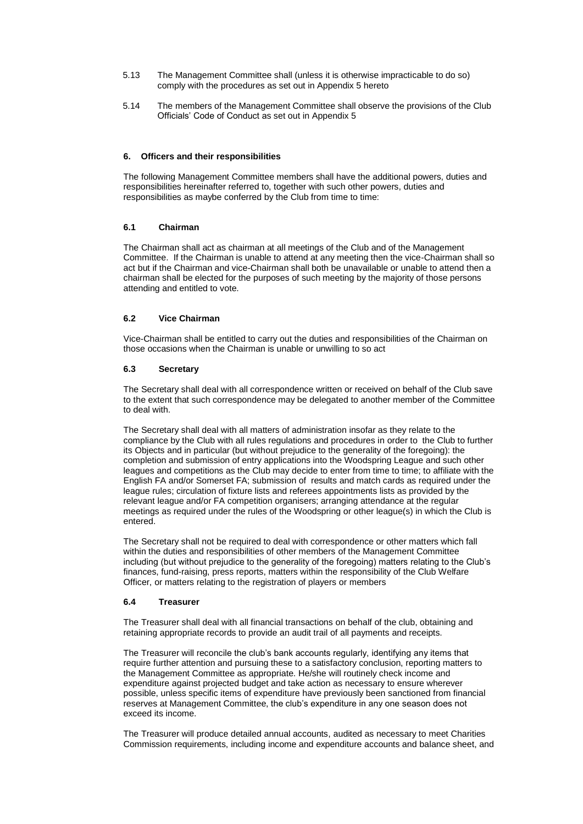- 5.13 The Management Committee shall (unless it is otherwise impracticable to do so) comply with the procedures as set out in Appendix 5 hereto
- 5.14 The members of the Management Committee shall observe the provisions of the Club Officials' Code of Conduct as set out in Appendix 5

## **6. Officers and their responsibilities**

The following Management Committee members shall have the additional powers, duties and responsibilities hereinafter referred to, together with such other powers, duties and responsibilities as maybe conferred by the Club from time to time:

#### **6.1 Chairman**

The Chairman shall act as chairman at all meetings of the Club and of the Management Committee. If the Chairman is unable to attend at any meeting then the vice-Chairman shall so act but if the Chairman and vice-Chairman shall both be unavailable or unable to attend then a chairman shall be elected for the purposes of such meeting by the majority of those persons attending and entitled to vote.

#### **6.2 Vice Chairman**

Vice-Chairman shall be entitled to carry out the duties and responsibilities of the Chairman on those occasions when the Chairman is unable or unwilling to so act

## **6.3 Secretary**

The Secretary shall deal with all correspondence written or received on behalf of the Club save to the extent that such correspondence may be delegated to another member of the Committee to deal with.

The Secretary shall deal with all matters of administration insofar as they relate to the compliance by the Club with all rules regulations and procedures in order to the Club to further its Objects and in particular (but without prejudice to the generality of the foregoing): the completion and submission of entry applications into the Woodspring League and such other leagues and competitions as the Club may decide to enter from time to time; to affiliate with the English FA and/or Somerset FA; submission of results and match cards as required under the league rules; circulation of fixture lists and referees appointments lists as provided by the relevant league and/or FA competition organisers; arranging attendance at the regular meetings as required under the rules of the Woodspring or other league(s) in which the Club is entered.

The Secretary shall not be required to deal with correspondence or other matters which fall within the duties and responsibilities of other members of the Management Committee including (but without prejudice to the generality of the foregoing) matters relating to the Club's finances, fund-raising, press reports, matters within the responsibility of the Club Welfare Officer, or matters relating to the registration of players or members

#### **6.4 Treasurer**

The Treasurer shall deal with all financial transactions on behalf of the club, obtaining and retaining appropriate records to provide an audit trail of all payments and receipts.

The Treasurer will reconcile the club's bank accounts regularly, identifying any items that require further attention and pursuing these to a satisfactory conclusion, reporting matters to the Management Committee as appropriate. He/she will routinely check income and expenditure against projected budget and take action as necessary to ensure wherever possible, unless specific items of expenditure have previously been sanctioned from financial reserves at Management Committee, the club's expenditure in any one season does not exceed its income.

The Treasurer will produce detailed annual accounts, audited as necessary to meet Charities Commission requirements, including income and expenditure accounts and balance sheet, and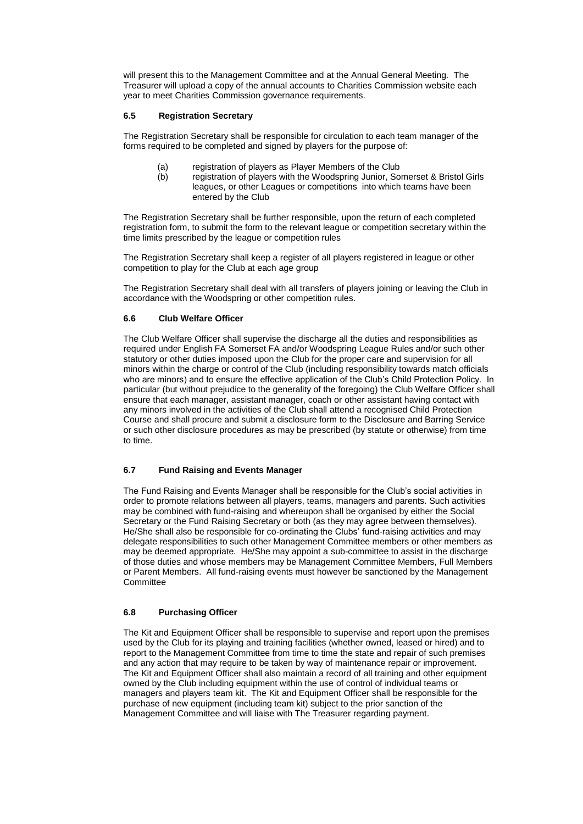will present this to the Management Committee and at the Annual General Meeting. The Treasurer will upload a copy of the annual accounts to Charities Commission website each year to meet Charities Commission governance requirements.

## **6.5 Registration Secretary**

The Registration Secretary shall be responsible for circulation to each team manager of the forms required to be completed and signed by players for the purpose of:

- (a) registration of players as Player Members of the Club
- (b) registration of players with the Woodspring Junior, Somerset & Bristol Girls leagues, or other Leagues or competitions into which teams have been entered by the Club

The Registration Secretary shall be further responsible, upon the return of each completed registration form, to submit the form to the relevant league or competition secretary within the time limits prescribed by the league or competition rules

The Registration Secretary shall keep a register of all players registered in league or other competition to play for the Club at each age group

The Registration Secretary shall deal with all transfers of players joining or leaving the Club in accordance with the Woodspring or other competition rules.

## **6.6 Club Welfare Officer**

The Club Welfare Officer shall supervise the discharge all the duties and responsibilities as required under English FA Somerset FA and/or Woodspring League Rules and/or such other statutory or other duties imposed upon the Club for the proper care and supervision for all minors within the charge or control of the Club (including responsibility towards match officials who are minors) and to ensure the effective application of the Club's Child Protection Policy. In particular (but without prejudice to the generality of the foregoing) the Club Welfare Officer shall ensure that each manager, assistant manager, coach or other assistant having contact with any minors involved in the activities of the Club shall attend a recognised Child Protection Course and shall procure and submit a disclosure form to the Disclosure and Barring Service or such other disclosure procedures as may be prescribed (by statute or otherwise) from time to time.

## **6.7 Fund Raising and Events Manager**

The Fund Raising and Events Manager shall be responsible for the Club's social activities in order to promote relations between all players, teams, managers and parents. Such activities may be combined with fund-raising and whereupon shall be organised by either the Social Secretary or the Fund Raising Secretary or both (as they may agree between themselves). He/She shall also be responsible for co-ordinating the Clubs' fund-raising activities and may delegate responsibilities to such other Management Committee members or other members as may be deemed appropriate. He/She may appoint a sub-committee to assist in the discharge of those duties and whose members may be Management Committee Members, Full Members or Parent Members. All fund-raising events must however be sanctioned by the Management **Committee** 

## **6.8 Purchasing Officer**

The Kit and Equipment Officer shall be responsible to supervise and report upon the premises used by the Club for its playing and training facilities (whether owned, leased or hired) and to report to the Management Committee from time to time the state and repair of such premises and any action that may require to be taken by way of maintenance repair or improvement. The Kit and Equipment Officer shall also maintain a record of all training and other equipment owned by the Club including equipment within the use of control of individual teams or managers and players team kit. The Kit and Equipment Officer shall be responsible for the purchase of new equipment (including team kit) subject to the prior sanction of the Management Committee and will liaise with The Treasurer regarding payment.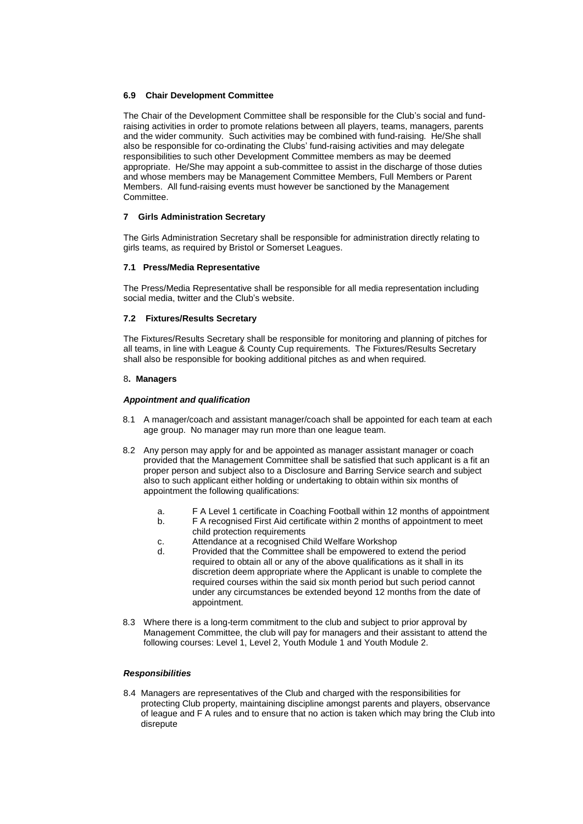## **6.9 Chair Development Committee**

The Chair of the Development Committee shall be responsible for the Club's social and fundraising activities in order to promote relations between all players, teams, managers, parents and the wider community. Such activities may be combined with fund-raising. He/She shall also be responsible for co-ordinating the Clubs' fund-raising activities and may delegate responsibilities to such other Development Committee members as may be deemed appropriate. He/She may appoint a sub-committee to assist in the discharge of those duties and whose members may be Management Committee Members, Full Members or Parent Members. All fund-raising events must however be sanctioned by the Management Committee.

## **7 Girls Administration Secretary**

The Girls Administration Secretary shall be responsible for administration directly relating to girls teams, as required by Bristol or Somerset Leagues.

## **7.1 Press/Media Representative**

The Press/Media Representative shall be responsible for all media representation including social media, twitter and the Club's website.

## **7.2 Fixtures/Results Secretary**

The Fixtures/Results Secretary shall be responsible for monitoring and planning of pitches for all teams, in line with League & County Cup requirements. The Fixtures/Results Secretary shall also be responsible for booking additional pitches as and when required.

## 8**. Managers**

## *Appointment and qualification*

- 8.1 A manager/coach and assistant manager/coach shall be appointed for each team at each age group. No manager may run more than one league team.
- 8.2 Any person may apply for and be appointed as manager assistant manager or coach provided that the Management Committee shall be satisfied that such applicant is a fit an proper person and subject also to a Disclosure and Barring Service search and subject also to such applicant either holding or undertaking to obtain within six months of appointment the following qualifications:
	- a. F A Level 1 certificate in Coaching Football within 12 months of appointment
	- b. F A recognised First Aid certificate within 2 months of appointment to meet child protection requirements
	- c. Attendance at a recognised Child Welfare Workshop
	- d. Provided that the Committee shall be empowered to extend the period required to obtain all or any of the above qualifications as it shall in its discretion deem appropriate where the Applicant is unable to complete the required courses within the said six month period but such period cannot under any circumstances be extended beyond 12 months from the date of appointment.
- 8.3 Where there is a long-term commitment to the club and subject to prior approval by Management Committee, the club will pay for managers and their assistant to attend the following courses: Level 1, Level 2, Youth Module 1 and Youth Module 2.

## *Responsibilities*

8.4 Managers are representatives of the Club and charged with the responsibilities for protecting Club property, maintaining discipline amongst parents and players, observance of league and F A rules and to ensure that no action is taken which may bring the Club into disrepute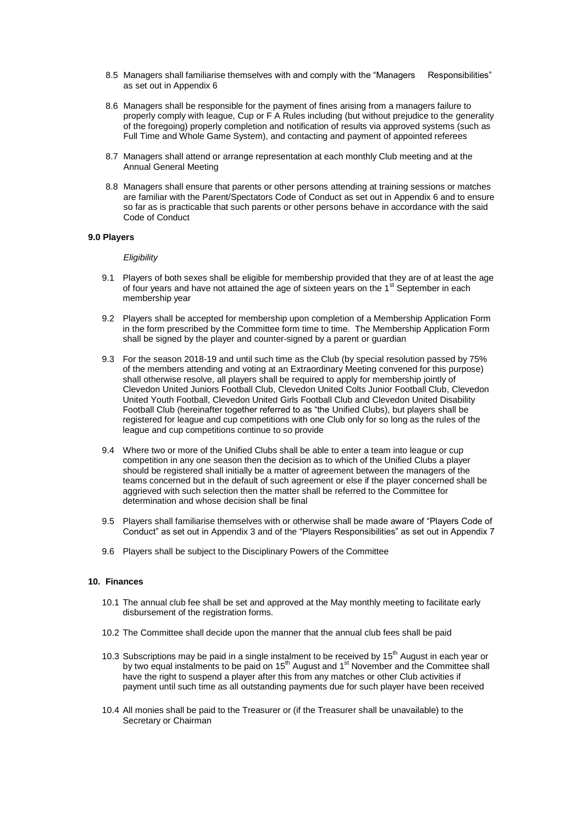- 8.5 Managers shall familiarise themselves with and comply with the "Managers Responsibilities" as set out in Appendix 6
- 8.6 Managers shall be responsible for the payment of fines arising from a managers failure to properly comply with league, Cup or F A Rules including (but without prejudice to the generality of the foregoing) properly completion and notification of results via approved systems (such as Full Time and Whole Game System), and contacting and payment of appointed referees
- 8.7 Managers shall attend or arrange representation at each monthly Club meeting and at the Annual General Meeting
- 8.8 Managers shall ensure that parents or other persons attending at training sessions or matches are familiar with the Parent/Spectators Code of Conduct as set out in Appendix 6 and to ensure so far as is practicable that such parents or other persons behave in accordance with the said Code of Conduct

#### **9.0 Players**

#### *Eligibility*

- 9.1 Players of both sexes shall be eligible for membership provided that they are of at least the age of four years and have not attained the age of sixteen years on the 1<sup>st</sup> September in each membership year
- 9.2 Players shall be accepted for membership upon completion of a Membership Application Form in the form prescribed by the Committee form time to time. The Membership Application Form shall be signed by the player and counter-signed by a parent or guardian
- 9.3 For the season 2018-19 and until such time as the Club (by special resolution passed by 75% of the members attending and voting at an Extraordinary Meeting convened for this purpose) shall otherwise resolve, all players shall be required to apply for membership jointly of Clevedon United Juniors Football Club, Clevedon United Colts Junior Football Club, Clevedon United Youth Football, Clevedon United Girls Football Club and Clevedon United Disability Football Club (hereinafter together referred to as "the Unified Clubs), but players shall be registered for league and cup competitions with one Club only for so long as the rules of the league and cup competitions continue to so provide
- 9.4 Where two or more of the Unified Clubs shall be able to enter a team into league or cup competition in any one season then the decision as to which of the Unified Clubs a player should be registered shall initially be a matter of agreement between the managers of the teams concerned but in the default of such agreement or else if the player concerned shall be aggrieved with such selection then the matter shall be referred to the Committee for determination and whose decision shall be final
- 9.5 Players shall familiarise themselves with or otherwise shall be made aware of "Players Code of Conduct" as set out in Appendix 3 and of the "Players Responsibilities" as set out in Appendix 7
- 9.6 Players shall be subject to the Disciplinary Powers of the Committee

#### **10. Finances**

- 10.1 The annual club fee shall be set and approved at the May monthly meeting to facilitate early disbursement of the registration forms.
- 10.2 The Committee shall decide upon the manner that the annual club fees shall be paid
- 10.3 Subscriptions may be paid in a single instalment to be received by 15<sup>th</sup> August in each year or by two equal instalments to be paid on 15<sup>th</sup> August and 1<sup>st</sup> November and the Committee shall have the right to suspend a player after this from any matches or other Club activities if payment until such time as all outstanding payments due for such player have been received
- 10.4 All monies shall be paid to the Treasurer or (if the Treasurer shall be unavailable) to the Secretary or Chairman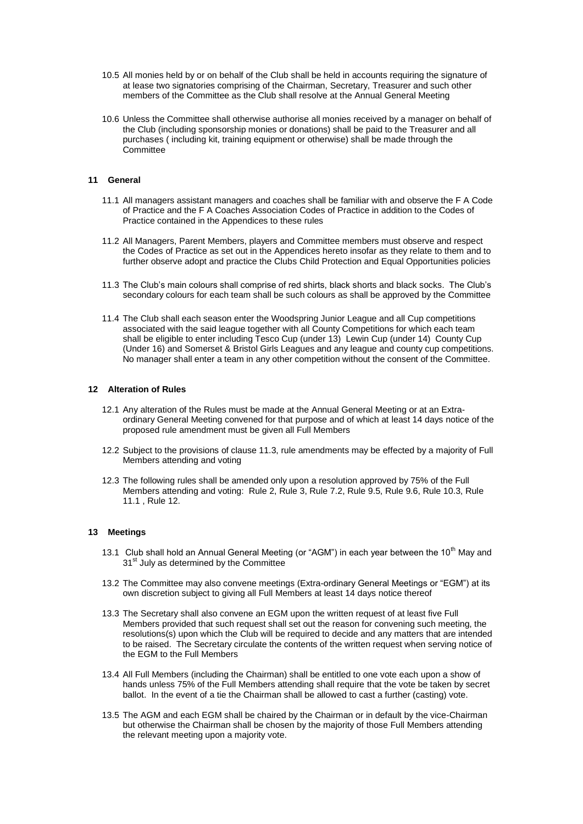- 10.5 All monies held by or on behalf of the Club shall be held in accounts requiring the signature of at lease two signatories comprising of the Chairman, Secretary, Treasurer and such other members of the Committee as the Club shall resolve at the Annual General Meeting
- 10.6 Unless the Committee shall otherwise authorise all monies received by a manager on behalf of the Club (including sponsorship monies or donations) shall be paid to the Treasurer and all purchases ( including kit, training equipment or otherwise) shall be made through the Committee

## **11 General**

- 11.1 All managers assistant managers and coaches shall be familiar with and observe the F A Code of Practice and the F A Coaches Association Codes of Practice in addition to the Codes of Practice contained in the Appendices to these rules
- 11.2 All Managers, Parent Members, players and Committee members must observe and respect the Codes of Practice as set out in the Appendices hereto insofar as they relate to them and to further observe adopt and practice the Clubs Child Protection and Equal Opportunities policies
- 11.3 The Club's main colours shall comprise of red shirts, black shorts and black socks. The Club's secondary colours for each team shall be such colours as shall be approved by the Committee
- 11.4 The Club shall each season enter the Woodspring Junior League and all Cup competitions associated with the said league together with all County Competitions for which each team shall be eligible to enter including Tesco Cup (under 13) Lewin Cup (under 14) County Cup (Under 16) and Somerset & Bristol Girls Leagues and any league and county cup competitions. No manager shall enter a team in any other competition without the consent of the Committee.

#### **12 Alteration of Rules**

- 12.1 Any alteration of the Rules must be made at the Annual General Meeting or at an Extraordinary General Meeting convened for that purpose and of which at least 14 days notice of the proposed rule amendment must be given all Full Members
- 12.2 Subject to the provisions of clause 11.3, rule amendments may be effected by a majority of Full Members attending and voting
- 12.3 The following rules shall be amended only upon a resolution approved by 75% of the Full Members attending and voting: Rule 2, Rule 3, Rule 7.2, Rule 9.5, Rule 9.6, Rule 10.3, Rule 11.1 , Rule 12.

#### **13 Meetings**

- 13.1 Club shall hold an Annual General Meeting (or "AGM") in each year between the  $10^{th}$  May and 31<sup>st</sup> July as determined by the Committee
- 13.2 The Committee may also convene meetings (Extra-ordinary General Meetings or "EGM") at its own discretion subject to giving all Full Members at least 14 days notice thereof
- 13.3 The Secretary shall also convene an EGM upon the written request of at least five Full Members provided that such request shall set out the reason for convening such meeting, the resolutions(s) upon which the Club will be required to decide and any matters that are intended to be raised. The Secretary circulate the contents of the written request when serving notice of the EGM to the Full Members
- 13.4 All Full Members (including the Chairman) shall be entitled to one vote each upon a show of hands unless 75% of the Full Members attending shall require that the vote be taken by secret ballot. In the event of a tie the Chairman shall be allowed to cast a further (casting) vote.
- 13.5 The AGM and each EGM shall be chaired by the Chairman or in default by the vice-Chairman but otherwise the Chairman shall be chosen by the majority of those Full Members attending the relevant meeting upon a majority vote.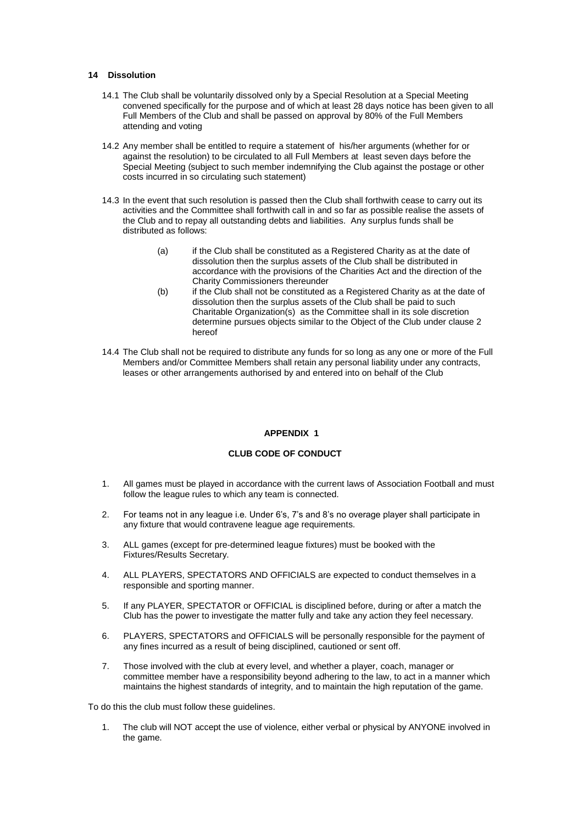## **14 Dissolution**

- 14.1 The Club shall be voluntarily dissolved only by a Special Resolution at a Special Meeting convened specifically for the purpose and of which at least 28 days notice has been given to all Full Members of the Club and shall be passed on approval by 80% of the Full Members attending and voting
- 14.2 Any member shall be entitled to require a statement of his/her arguments (whether for or against the resolution) to be circulated to all Full Members at least seven days before the Special Meeting (subject to such member indemnifying the Club against the postage or other costs incurred in so circulating such statement)
- 14.3 In the event that such resolution is passed then the Club shall forthwith cease to carry out its activities and the Committee shall forthwith call in and so far as possible realise the assets of the Club and to repay all outstanding debts and liabilities. Any surplus funds shall be distributed as follows:
	- (a) if the Club shall be constituted as a Registered Charity as at the date of dissolution then the surplus assets of the Club shall be distributed in accordance with the provisions of the Charities Act and the direction of the Charity Commissioners thereunder
	- (b) if the Club shall not be constituted as a Registered Charity as at the date of dissolution then the surplus assets of the Club shall be paid to such Charitable Organization(s) as the Committee shall in its sole discretion determine pursues objects similar to the Object of the Club under clause 2 hereof
- 14.4 The Club shall not be required to distribute any funds for so long as any one or more of the Full Members and/or Committee Members shall retain any personal liability under any contracts, leases or other arrangements authorised by and entered into on behalf of the Club

## **APPENDIX 1**

## **CLUB CODE OF CONDUCT**

- 1. All games must be played in accordance with the current laws of Association Football and must follow the league rules to which any team is connected.
- 2. For teams not in any league i.e. Under 6's, 7's and 8's no overage player shall participate in any fixture that would contravene league age requirements.
- 3. ALL games (except for pre-determined league fixtures) must be booked with the Fixtures/Results Secretary.
- 4. ALL PLAYERS, SPECTATORS AND OFFICIALS are expected to conduct themselves in a responsible and sporting manner.
- 5. If any PLAYER, SPECTATOR or OFFICIAL is disciplined before, during or after a match the Club has the power to investigate the matter fully and take any action they feel necessary.
- 6. PLAYERS, SPECTATORS and OFFICIALS will be personally responsible for the payment of any fines incurred as a result of being disciplined, cautioned or sent off.
- 7. Those involved with the club at every level, and whether a player, coach, manager or committee member have a responsibility beyond adhering to the law, to act in a manner which maintains the highest standards of integrity, and to maintain the high reputation of the game.

To do this the club must follow these guidelines.

1. The club will NOT accept the use of violence, either verbal or physical by ANYONE involved in the game.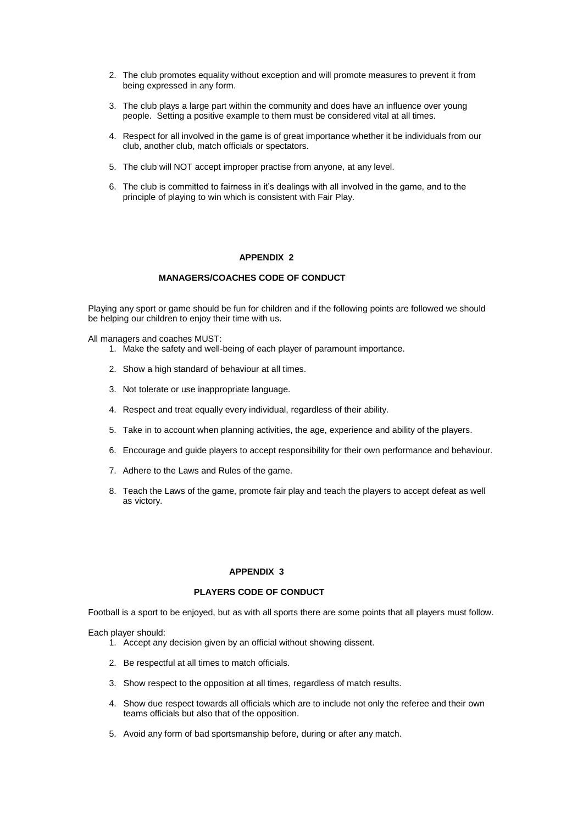- 2. The club promotes equality without exception and will promote measures to prevent it from being expressed in any form.
- 3. The club plays a large part within the community and does have an influence over young people. Setting a positive example to them must be considered vital at all times.
- 4. Respect for all involved in the game is of great importance whether it be individuals from our club, another club, match officials or spectators.
- 5. The club will NOT accept improper practise from anyone, at any level.
- 6. The club is committed to fairness in it's dealings with all involved in the game, and to the principle of playing to win which is consistent with Fair Play.

## **APPENDIX 2**

## **MANAGERS/COACHES CODE OF CONDUCT**

Playing any sport or game should be fun for children and if the following points are followed we should be helping our children to enjoy their time with us.

All managers and coaches MUST:

- 1. Make the safety and well-being of each player of paramount importance.
- 2. Show a high standard of behaviour at all times.
- 3. Not tolerate or use inappropriate language.
- 4. Respect and treat equally every individual, regardless of their ability.
- 5. Take in to account when planning activities, the age, experience and ability of the players.
- 6. Encourage and guide players to accept responsibility for their own performance and behaviour.
- 7. Adhere to the Laws and Rules of the game.
- 8. Teach the Laws of the game, promote fair play and teach the players to accept defeat as well as victory.

## **APPENDIX 3**

## **PLAYERS CODE OF CONDUCT**

Football is a sport to be enjoyed, but as with all sports there are some points that all players must follow.

Each player should:

- 1. Accept any decision given by an official without showing dissent.
- 2. Be respectful at all times to match officials.
- 3. Show respect to the opposition at all times, regardless of match results.
- 4. Show due respect towards all officials which are to include not only the referee and their own teams officials but also that of the opposition.
- 5. Avoid any form of bad sportsmanship before, during or after any match.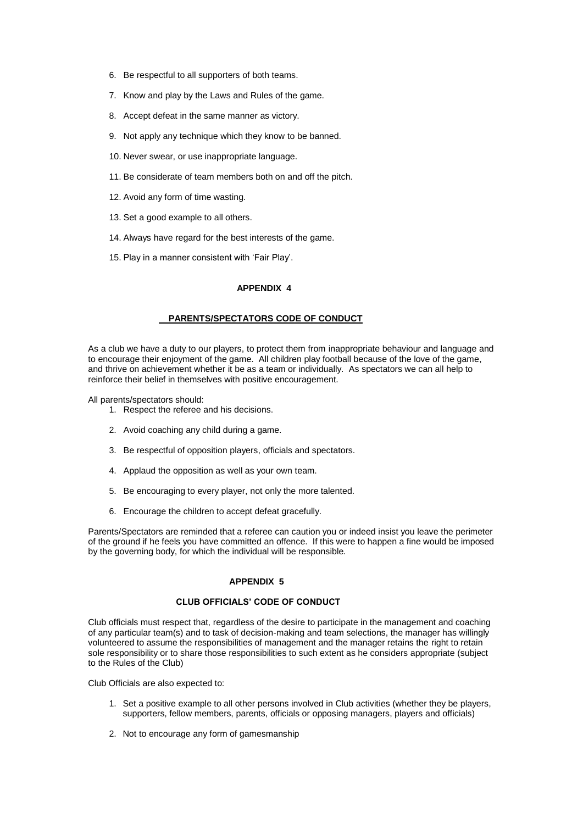- 6. Be respectful to all supporters of both teams.
- 7. Know and play by the Laws and Rules of the game.
- 8. Accept defeat in the same manner as victory.
- 9. Not apply any technique which they know to be banned.
- 10. Never swear, or use inappropriate language.
- 11. Be considerate of team members both on and off the pitch.
- 12. Avoid any form of time wasting.
- 13. Set a good example to all others.
- 14. Always have regard for the best interests of the game.
- 15. Play in a manner consistent with 'Fair Play'.

#### **APPENDIX 4**

#### **PARENTS/SPECTATORS CODE OF CONDUCT**

As a club we have a duty to our players, to protect them from inappropriate behaviour and language and to encourage their enjoyment of the game. All children play football because of the love of the game, and thrive on achievement whether it be as a team or individually. As spectators we can all help to reinforce their belief in themselves with positive encouragement.

All parents/spectators should:

- 1. Respect the referee and his decisions.
- 2. Avoid coaching any child during a game.
- 3. Be respectful of opposition players, officials and spectators.
- 4. Applaud the opposition as well as your own team.
- 5. Be encouraging to every player, not only the more talented.
- 6. Encourage the children to accept defeat gracefully.

Parents/Spectators are reminded that a referee can caution you or indeed insist you leave the perimeter of the ground if he feels you have committed an offence. If this were to happen a fine would be imposed by the governing body, for which the individual will be responsible.

#### **APPENDIX 5**

#### **CLUB OFFICIALS' CODE OF CONDUCT**

Club officials must respect that, regardless of the desire to participate in the management and coaching of any particular team(s) and to task of decision-making and team selections, the manager has willingly volunteered to assume the responsibilities of management and the manager retains the right to retain sole responsibility or to share those responsibilities to such extent as he considers appropriate (subject to the Rules of the Club)

Club Officials are also expected to:

- 1. Set a positive example to all other persons involved in Club activities (whether they be players, supporters, fellow members, parents, officials or opposing managers, players and officials)
- 2. Not to encourage any form of gamesmanship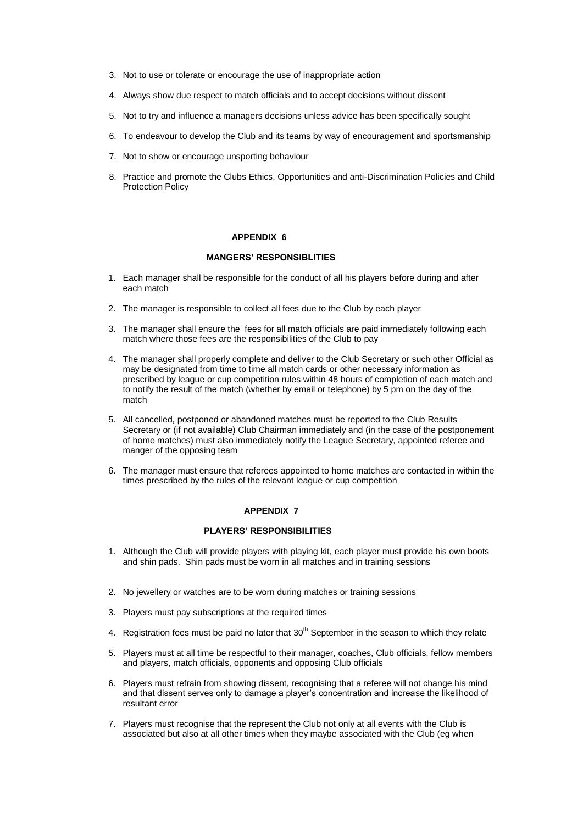- 3. Not to use or tolerate or encourage the use of inappropriate action
- 4. Always show due respect to match officials and to accept decisions without dissent
- 5. Not to try and influence a managers decisions unless advice has been specifically sought
- 6. To endeavour to develop the Club and its teams by way of encouragement and sportsmanship
- 7. Not to show or encourage unsporting behaviour
- 8. Practice and promote the Clubs Ethics, Opportunities and anti-Discrimination Policies and Child Protection Policy

## **APPENDIX 6**

## **MANGERS' RESPONSIBLITIES**

- 1. Each manager shall be responsible for the conduct of all his players before during and after each match
- 2. The manager is responsible to collect all fees due to the Club by each player
- 3. The manager shall ensure the fees for all match officials are paid immediately following each match where those fees are the responsibilities of the Club to pay
- 4. The manager shall properly complete and deliver to the Club Secretary or such other Official as may be designated from time to time all match cards or other necessary information as prescribed by league or cup competition rules within 48 hours of completion of each match and to notify the result of the match (whether by email or telephone) by 5 pm on the day of the match
- 5. All cancelled, postponed or abandoned matches must be reported to the Club Results Secretary or (if not available) Club Chairman immediately and (in the case of the postponement of home matches) must also immediately notify the League Secretary, appointed referee and manger of the opposing team
- 6. The manager must ensure that referees appointed to home matches are contacted in within the times prescribed by the rules of the relevant league or cup competition

## **APPENDIX 7**

## **PLAYERS' RESPONSIBILITIES**

- 1. Although the Club will provide players with playing kit, each player must provide his own boots and shin pads. Shin pads must be worn in all matches and in training sessions
- 2. No jewellery or watches are to be worn during matches or training sessions
- 3. Players must pay subscriptions at the required times
- 4. Registration fees must be paid no later that  $30<sup>th</sup>$  September in the season to which they relate
- 5. Players must at all time be respectful to their manager, coaches, Club officials, fellow members and players, match officials, opponents and opposing Club officials
- 6. Players must refrain from showing dissent, recognising that a referee will not change his mind and that dissent serves only to damage a player's concentration and increase the likelihood of resultant error
- 7. Players must recognise that the represent the Club not only at all events with the Club is associated but also at all other times when they maybe associated with the Club (eg when